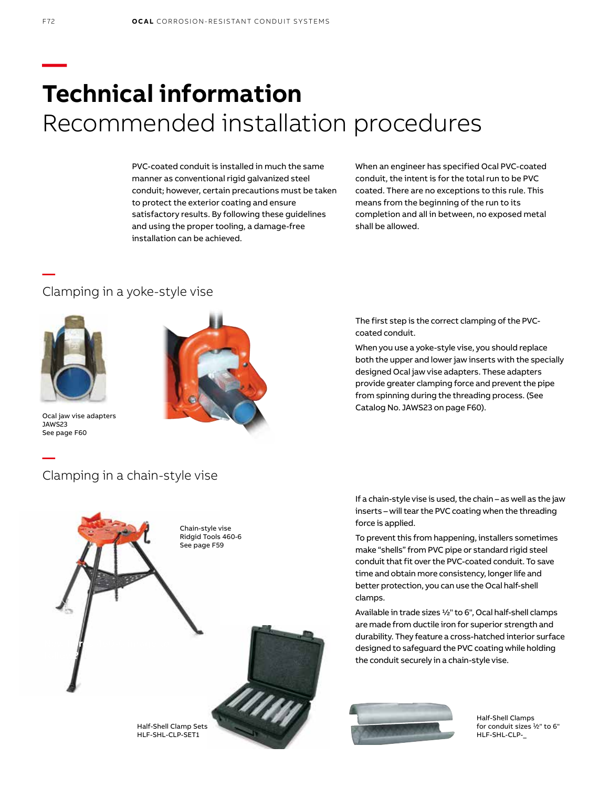# **— Technical information** Recommended installation procedures

PVC-coated conduit is installed in much the same manner as conventional rigid galvanized steel conduit; however, certain precautions must be taken to protect the exterior coating and ensure satisfactory results. By following these guidelines and using the proper tooling, a damage-free installation can be achieved.

When an engineer has specified Ocal PVC-coated conduit, the intent is for the total run to be PVC coated. There are no exceptions to this rule. This means from the beginning of the run to its completion and all in between, no exposed metal shall be allowed.

### Clamping in a yoke-style vise



**—**

Ocal jaw vise adapters JAWS23 See page F60

**—**



When you use a yoke-style vise, you should replace both the upper and lower jaw inserts with the specially

The first step is the correct clamping of the PVC-

coated conduit.

designed Ocal jaw vise adapters. These adapters provide greater clamping force and prevent the pipe from spinning during the threading process. (See Catalog No. JAWS23 on page F60).

# Clamping in a chain-style vise



If a chain-style vise is used, the chain – as well as the jaw inserts – will tear the PVC coating when the threading force is applied.

To prevent this from happening, installers sometimes make "shells" from PVC pipe or standard rigid steel conduit that fit over the PVC-coated conduit. To save time and obtain more consistency, longer life and better protection, you can use the Ocal half-shell clamps.

Available in trade sizes 1⁄2" to 6", Ocal half-shell clamps are made from ductile iron for superior strength and durability. They feature a cross-hatched interior surface designed to safeguard the PVC coating while holding the conduit securely in a chain-style vise.



Half-Shell Clamps for conduit sizes 1⁄2" to 6" HLF-SHL-CLP-\_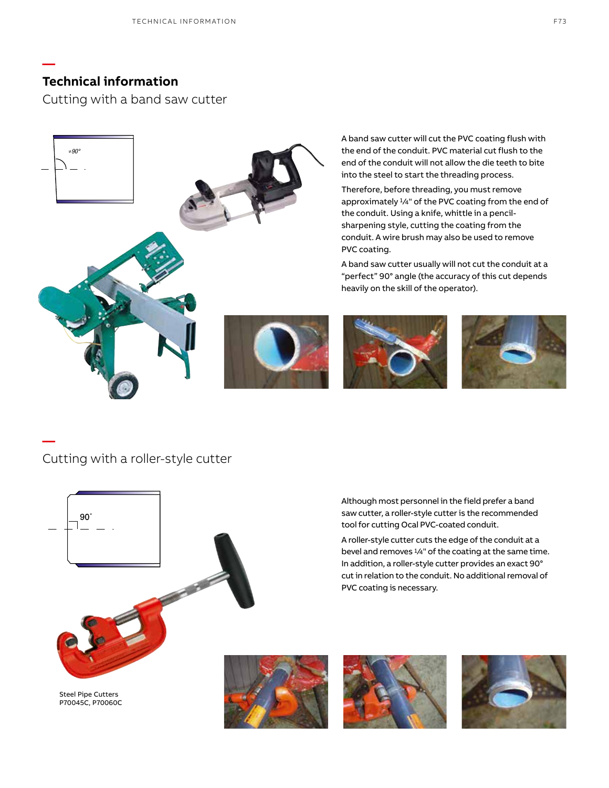**—**

**—**

Cutting with a band saw cutter



A band saw cutter will cut the PVC coating flush with the end of the conduit. PVC material cut flush to the end of the conduit will not allow the die teeth to bite into the steel to start the threading process.

Therefore, before threading, you must remove approximately 1/4" of the PVC coating from the end of the conduit. Using a knife, whittle in a pencilsharpening style, cutting the coating from the conduit. A wire brush may also be used to remove PVC coating.

A band saw cutter usually will not cut the conduit at a "perfect" 90° angle (the accuracy of this cut depends heavily on the skill of the operator).





# Cutting with a roller-style cutter



Although most personnel in the field prefer a band saw cutter, a roller-style cutter is the recommended tool for cutting Ocal PVC-coated conduit.

A roller-style cutter cuts the edge of the conduit at a bevel and removes 1/4" of the coating at the same time. In addition, a roller-style cutter provides an exact 90° cut in relation to the conduit. No additional removal of PVC coating is necessary.





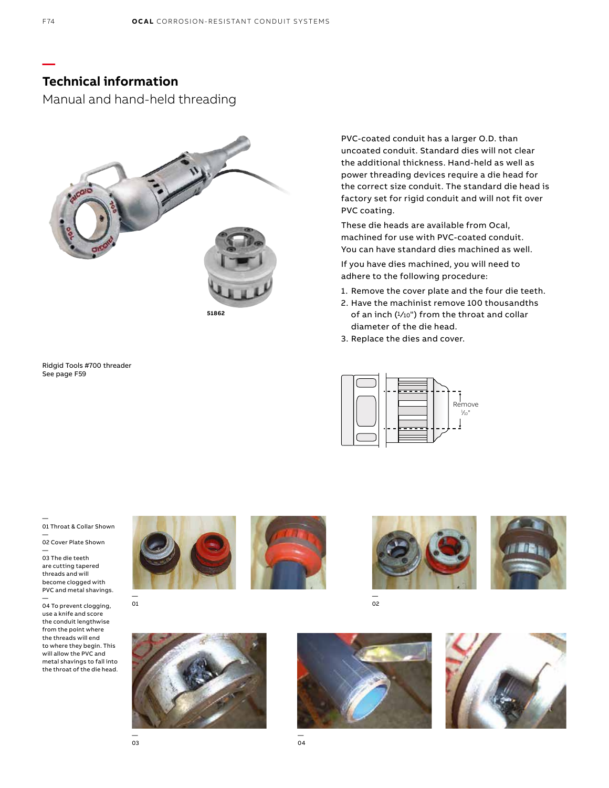Manual and hand-held threading



Ridgid Tools #700 threader See page F59

PVC-coated conduit has a larger O.D. than uncoated conduit. Standard dies will not clear the additional thickness. Hand-held as well as power threading devices require a die head for the correct size conduit. The standard die head is factory set for rigid conduit and will not fit over PVC coating.

These die heads are available from Ocal, machined for use with PVC-coated conduit. You can have standard dies machined as well.

If you have dies machined, you will need to adhere to the following procedure:

- 1. Remove the cover plate and the four die teeth.
- 2. Have the machinist remove 100 thousandths of an inch  $(1/10")$  from the throat and collar diameter of the die head.
- 3. Replace the dies and cover.



— 01 Throat & Collar Shown — 02 Cover Plate Shown

— 03 The die teeth are cutting tapered threads and will

become clogged with PVC and metal shavings. —

04 To prevent clogging, use a knife and score the conduit lengthwise from the point where the threads will end to where they begin. This will allow the PVC and metal shavings to fall into the throat of the die head.







— 02







**—**

— 01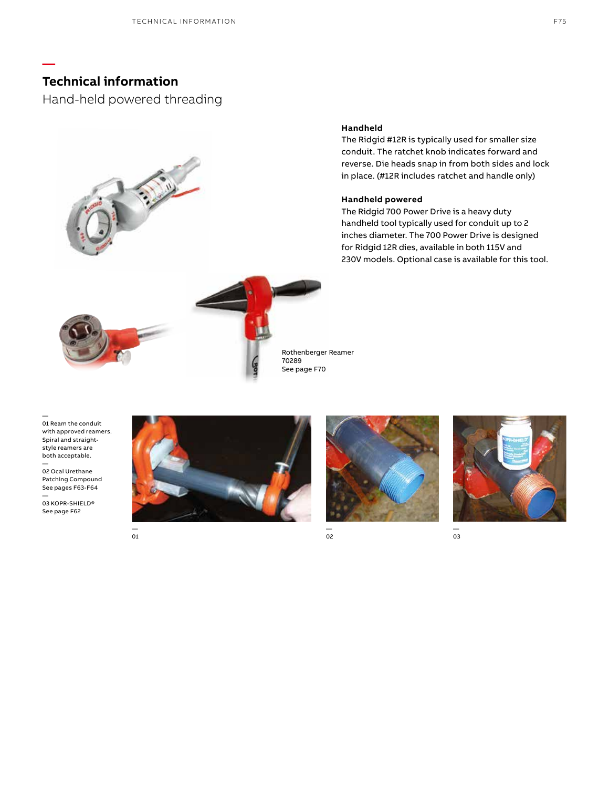**—**

Hand-held powered threading



### **Handheld**

The Ridgid #12R is typically used for smaller size conduit. The ratchet knob indicates forward and reverse. Die heads snap in from both sides and lock in place. (#12R includes ratchet and handle only)

### **Handheld powered**

The Ridgid 700 Power Drive is a heavy duty handheld tool typically used for conduit up to 2 inches diameter. The 700 Power Drive is designed for Ridgid 12R dies, available in both 115V and 230V models. Optional case is available for this tool.



Rothenberger Reamer

— 01 Ream the conduit with approved reamers. Spiral and straightstyle reamers are both acceptable. —

02 Ocal Urethane Patching Compound See pages F63-F64

—<br>03 KOPR-SHIELD® See page F62



— 01





— 03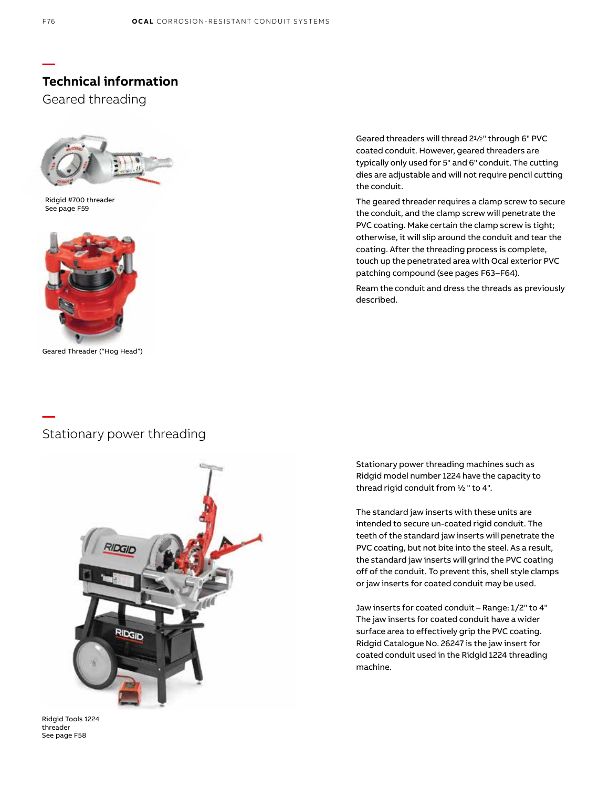Geared threading



Ridgid #700 threader See page F59



Geared Threader ("Hog Head")

### **—** Stationary power threading



Ridgid Tools 1224 threader See page F58

Geared threaders will thread 2<sup>1</sup>/<sub>2</sub>" through 6" PVC coated conduit. However, geared threaders are typically only used for 5" and 6" conduit. The cutting dies are adjustable and will not require pencil cutting the conduit.

The geared threader requires a clamp screw to secure the conduit, and the clamp screw will penetrate the PVC coating. Make certain the clamp screw is tight; otherwise, it will slip around the conduit and tear the coating. After the threading process is complete, touch up the penetrated area with Ocal exterior PVC patching compound (see pages F63–F64).

Ream the conduit and dress the threads as previously described.

Stationary power threading machines such as Ridgid model number 1224 have the capacity to thread rigid conduit from ½ " to 4".

The standard jaw inserts with these units are intended to secure un-coated rigid conduit. The teeth of the standard jaw inserts will penetrate the PVC coating, but not bite into the steel. As a result, the standard jaw inserts will grind the PVC coating off of the conduit. To prevent this, shell style clamps or jaw inserts for coated conduit may be used.

Jaw inserts for coated conduit – Range: 1/2" to 4" The jaw inserts for coated conduit have a wider surface area to effectively grip the PVC coating. Ridgid Catalogue No. 26247 is the jaw insert for coated conduit used in the Ridgid 1224 threading machine.

**—**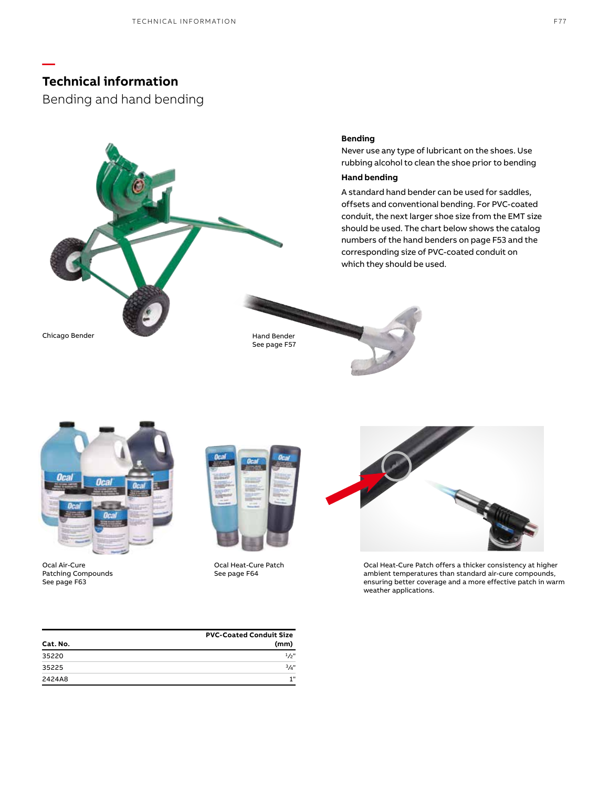**—**

Bending and hand bending



Never use any type of lubricant on the shoes. Use rubbing alcohol to clean the shoe prior to bending

### **Hand bending**

A standard hand bender can be used for saddles, offsets and conventional bending. For PVC-coated conduit, the next larger shoe size from the EMT size should be used. The chart below shows the catalog numbers of the hand benders on page F53 and the corresponding size of PVC-coated conduit on which they should be used.

Chicago Bender Hand Bender Hand Bender

See page F57



Ocal Air-Cure Patching Compounds See page F63



Ocal Heat-Cure Patch See page F64



Ocal Heat-Cure Patch offers a thicker consistency at higher ambient temperatures than standard air-cure compounds, ensuring better coverage and a more effective patch in warm weather applications.

|          | <b>PVC-Coated Conduit Size</b> |  |
|----------|--------------------------------|--|
| Cat. No. | (mm)                           |  |
| 35220    | $1/2$ "                        |  |
| 35225    | $3/4$ "                        |  |
| 2424A8   | 4.81                           |  |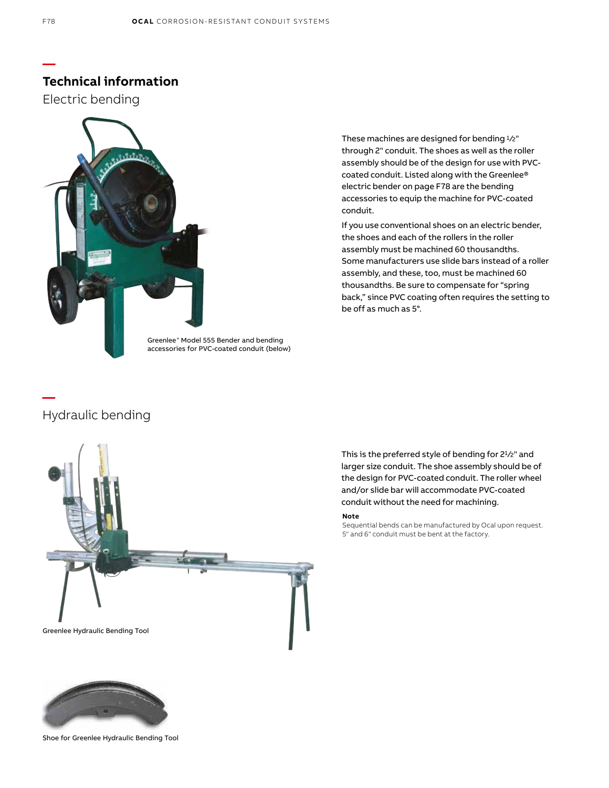Electric bending



These machines are designed for bending 1/2" through 2" conduit. The shoes as well as the roller assembly should be of the design for use with PVCcoated conduit. Listed along with the Greenlee® electric bender on page F78 are the bending accessories to equip the machine for PVC-coated conduit.

If you use conventional shoes on an electric bender, the shoes and each of the rollers in the roller assembly must be machined 60 thousandths. Some manufacturers use slide bars instead of a roller assembly, and these, too, must be machined 60 thousandths. Be sure to compensate for "spring back," since PVC coating often requires the setting to be off as much as 5°.

Greenlee® Model 555 Bender and bending accessories for PVC-coated conduit (below)

## Hydraulic bending

**—**



Shoe for Greenlee Hydraulic Bending Tool

**—**

This is the preferred style of bending for 21/2" and larger size conduit. The shoe assembly should be of the design for PVC-coated conduit. The roller wheel and/or slide bar will accommodate PVC-coated conduit without the need for machining.

#### **Note**

Sequential bends can be manufactured by Ocal upon request. 5" and 6" conduit must be bent at the factory.